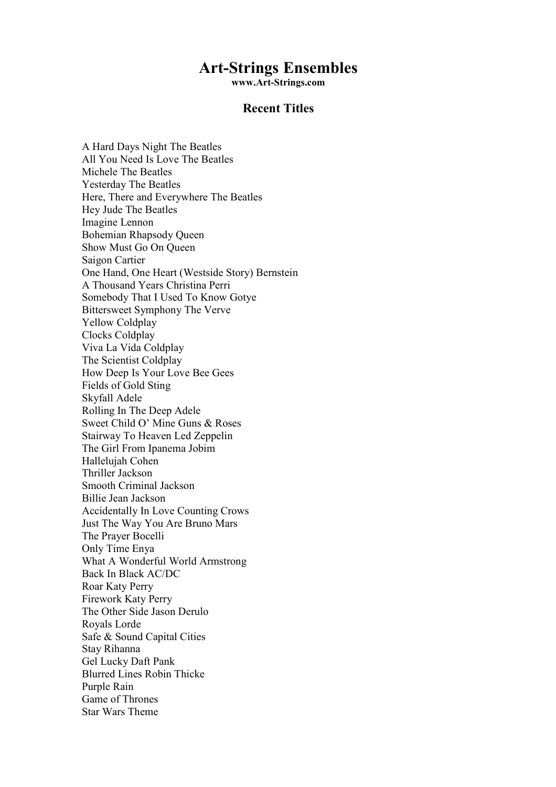# Art-Strings Ensembles

www.Art-Strings.com

## Recent Titles

A Hard Days Night The Beatles All You Need Is Love The Beatles Michele The Beatles Yesterday The Beatles Here, There and Everywhere The Beatles Hey Jude The Beatles Imagine Lennon Bohemian Rhapsody Queen Show Must Go On Queen Saigon Cartier One Hand, One Heart (Westside Story) Bernstein A Thousand Years Christina Perri Somebody That I Used To Know Gotye Bittersweet Symphony The Verve Yellow Coldplay Clocks Coldplay Viva La Vida Coldplay The Scientist Coldplay How Deep Is Your Love Bee Gees Fields of Gold Sting Skyfall Adele Rolling In The Deep Adele Sweet Child O' Mine Guns & Roses Stairway To Heaven Led Zeppelin The Girl From Ipanema Jobim Hallelujah Cohen Thriller Jackson Smooth Criminal Jackson Billie Jean Jackson Accidentally In Love Counting Crows Just The Way You Are Bruno Mars The Prayer Bocelli Only Time Enya What A Wonderful World Armstrong Back In Black AC/DC Roar Katy Perry Firework Katy Perry The Other Side Jason Derulo Royals Lorde Safe & Sound Capital Cities Stay Rihanna Gel Lucky Daft Pank Blurred Lines Robin Thicke Purple Rain Game of Thrones Star Wars Theme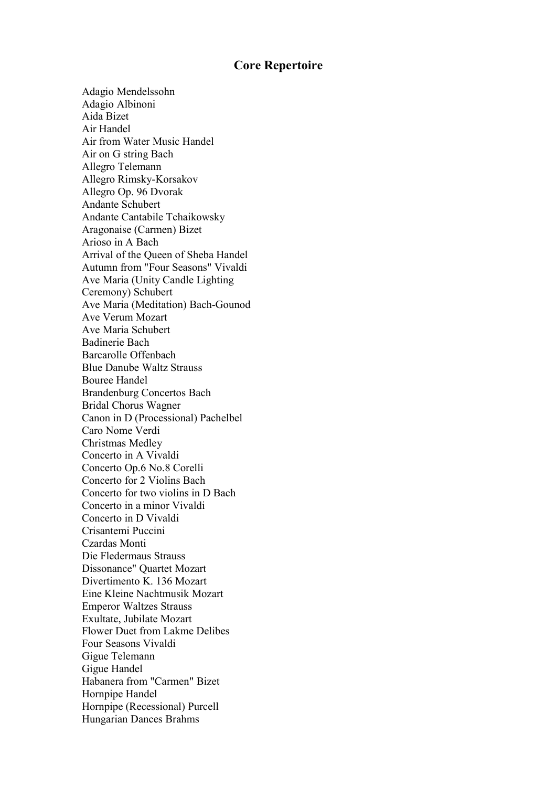# Core Repertoire

Adagio Mendelssohn Adagio Albinoni Aida Bizet Air Handel Air from Water Music Handel Air on G string Bach Allegro Telemann Allegro Rimsky-Korsakov Allegro Op. 96 Dvorak Andante Schubert Andante Cantabile Tchaikowsky Aragonaise (Carmen) Bizet Arioso in A Bach Arrival of the Queen of Sheba Handel Autumn from "Four Seasons" Vivaldi Ave Maria (Unity Candle Lighting Ceremony) Schubert Ave Maria (Meditation) Bach-Gounod Ave Verum Mozart Ave Maria Schubert Badinerie Bach Barcarolle Offenbach Blue Danube Waltz Strauss Bouree Handel Brandenburg Concertos Bach Bridal Chorus Wagner Canon in D (Processional) Pachelbel Caro Nome Verdi Christmas Medley Concerto in A Vivaldi Concerto Op.6 No.8 Corelli Concerto for 2 Violins Bach Concerto for two violins in D Bach Concerto in a minor Vivaldi Concerto in D Vivaldi Crisantemi Puccini Czardas Monti Die Fledermaus Strauss Dissonance" Quartet Mozart Divertimento K. 136 Mozart Eine Kleine Nachtmusik Mozart Emperor Waltzes Strauss Exultate, Jubilate Mozart Flower Duet from Lakme Delibes Four Seasons Vivaldi Gigue Telemann Gigue Handel Habanera from "Carmen" Bizet Hornpipe Handel Hornpipe (Recessional) Purcell Hungarian Dances Brahms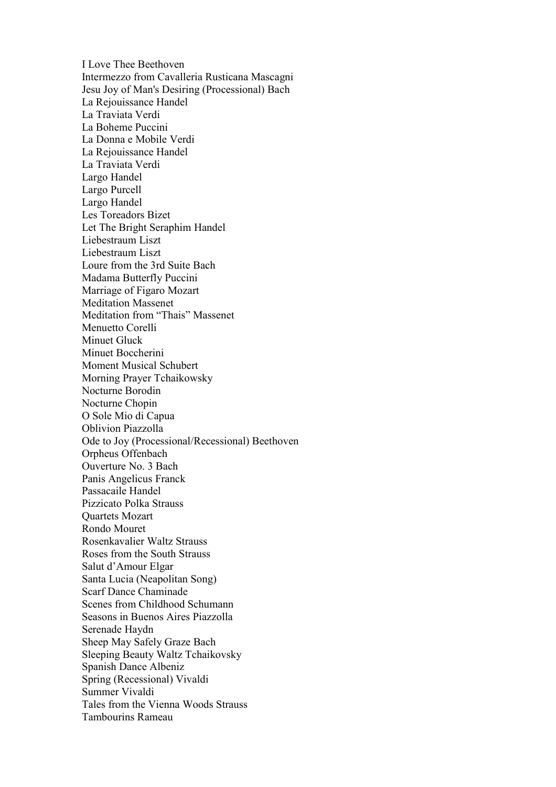I Love Thee Beethoven Intermezzo from Cavalleria Rusticana Mascagni Jesu Joy of Man's Desiring (Processional) Bach La Rejouissance Handel La Traviata Verdi La Boheme Puccini La Donna e Mobile Verdi La Rejouissance Handel La Traviata Verdi Largo Handel Largo Purcell Largo Handel Les Toreadors Bizet Let The Bright Seraphim Handel Liebestraum Liszt Liebestraum Liszt Loure from the 3rd Suite Bach Madama Butterfly Puccini Marriage of Figaro Mozart Meditation Massenet Meditation from "Thais" Massenet Menuetto Corelli Minuet Gluck Minuet Boccherini Moment Musical Schubert Morning Prayer Tchaikowsky Nocturne Borodin Nocturne Chopin O Sole Mio di Capua Oblivion Piazzolla Ode to Joy (Processional/Recessional) Beethoven Orpheus Offenbach Ouverture No. 3 Bach Panis Angelicus Franck Passacaile Handel Pizzicato Polka Strauss Quartets Mozart Rondo Mouret Rosenkavalier Waltz Strauss Roses from the South Strauss Salut d'Amour Elgar Santa Lucia (Neapolitan Song) Scarf Dance Chaminade Scenes from Childhood Schumann Seasons in Buenos Aires Piazzolla Serenade Haydn Sheep May Safely Graze Bach Sleeping Beauty Waltz Tchaikovsky Spanish Dance Albeniz Spring (Recessional) Vivaldi Summer Vivaldi Tales from the Vienna Woods Strauss Tambourins Rameau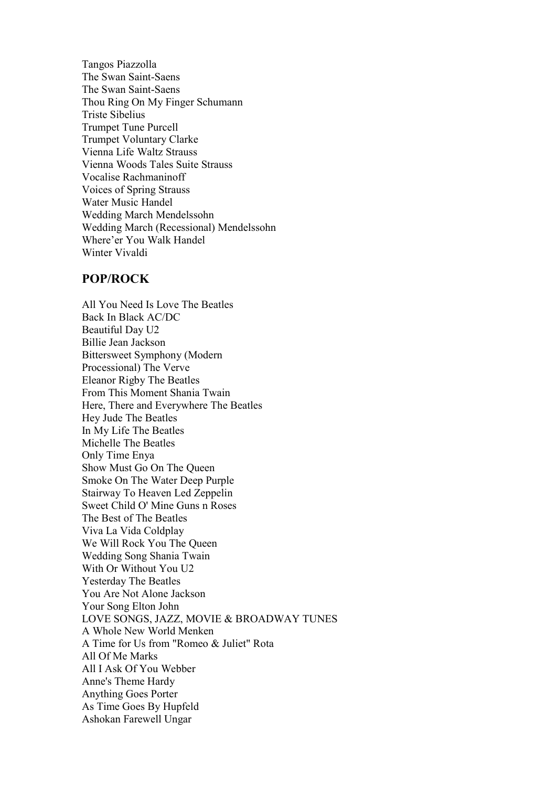Tangos Piazzolla The Swan Saint-Saens The Swan Saint-Saens Thou Ring On My Finger Schumann Triste Sibelius Trumpet Tune Purcell Trumpet Voluntary Clarke Vienna Life Waltz Strauss Vienna Woods Tales Suite Strauss Vocalise Rachmaninoff Voices of Spring Strauss Water Music Handel Wedding March Mendelssohn Wedding March (Recessional) Mendelssohn Where'er You Walk Handel Winter Vivaldi

## POP/ROCK

All You Need Is Love The Beatles Back In Black AC/DC Beautiful Day U2 Billie Jean Jackson Bittersweet Symphony (Modern Processional) The Verve Eleanor Rigby The Beatles From This Moment Shania Twain Here, There and Everywhere The Beatles Hey Jude The Beatles In My Life The Beatles Michelle The Beatles Only Time Enya Show Must Go On The Queen Smoke On The Water Deep Purple Stairway To Heaven Led Zeppelin Sweet Child O' Mine Guns n Roses The Best of The Beatles Viva La Vida Coldplay We Will Rock You The Queen Wedding Song Shania Twain With Or Without You U2 Yesterday The Beatles You Are Not Alone Jackson Your Song Elton John LOVE SONGS, JAZZ, MOVIE & BROADWAY TUNES A Whole New World Menken A Time for Us from "Romeo & Juliet" Rota All Of Me Marks All I Ask Of You Webber Anne's Theme Hardy Anything Goes Porter As Time Goes By Hupfeld Ashokan Farewell Ungar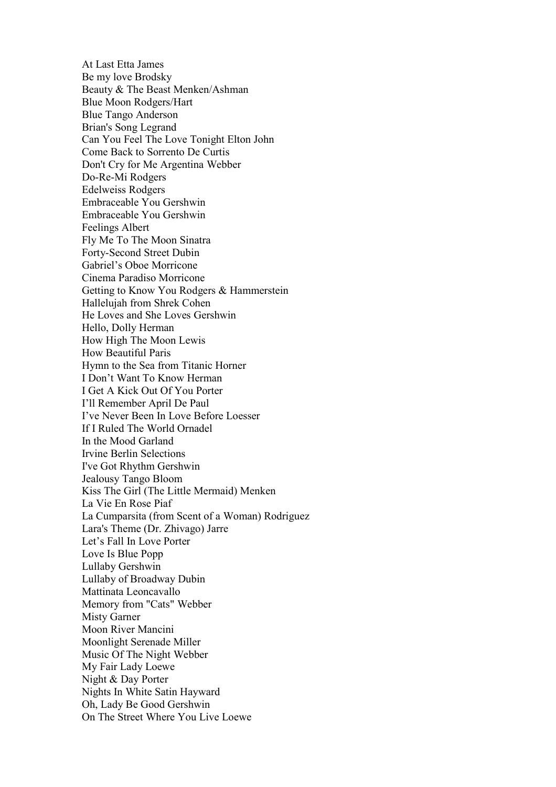At Last Etta James Be my love Brodsky Beauty & The Beast Menken/Ashman Blue Moon Rodgers/Hart Blue Tango Anderson Brian's Song Legrand Can You Feel The Love Tonight Elton John Come Back to Sorrento De Curtis Don't Cry for Me Argentina Webber Do-Re-Mi Rodgers Edelweiss Rodgers Embraceable You Gershwin Embraceable You Gershwin Feelings Albert Fly Me To The Moon Sinatra Forty-Second Street Dubin Gabriel's Oboe Morricone Cinema Paradiso Morricone Getting to Know You Rodgers & Hammerstein Hallelujah from Shrek Cohen He Loves and She Loves Gershwin Hello, Dolly Herman How High The Moon Lewis How Beautiful Paris Hymn to the Sea from Titanic Horner I Don't Want To Know Herman I Get A Kick Out Of You Porter I'll Remember April De Paul I've Never Been In Love Before Loesser If I Ruled The World Ornadel In the Mood Garland Irvine Berlin Selections I've Got Rhythm Gershwin Jealousy Tango Bloom Kiss The Girl (The Little Mermaid) Menken La Vie En Rose Piaf La Cumparsita (from Scent of a Woman) Rodriguez Lara's Theme (Dr. Zhivago) Jarre Let's Fall In Love Porter Love Is Blue Popp Lullaby Gershwin Lullaby of Broadway Dubin Mattinata Leoncavallo Memory from "Cats" Webber Misty Garner Moon River Mancini Moonlight Serenade Miller Music Of The Night Webber My Fair Lady Loewe Night & Day Porter Nights In White Satin Hayward Oh, Lady Be Good Gershwin On The Street Where You Live Loewe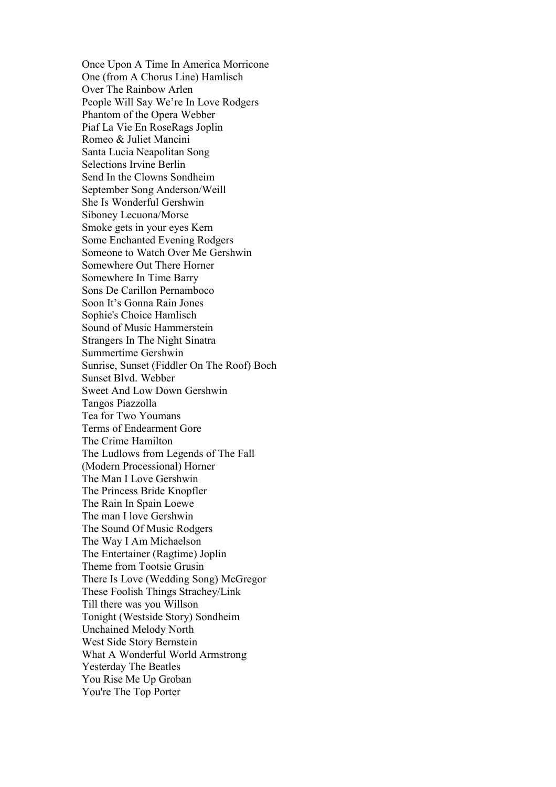Once Upon A Time In America Morricone One (from A Chorus Line) Hamlisch Over The Rainbow Arlen People Will Say We're In Love Rodgers Phantom of the Opera Webber Piaf La Vie En RoseRags Joplin Romeo & Juliet Mancini Santa Lucia Neapolitan Song Selections Irvine Berlin Send In the Clowns Sondheim September Song Anderson/Weill She Is Wonderful Gershwin Siboney Lecuona/Morse Smoke gets in your eyes Kern Some Enchanted Evening Rodgers Someone to Watch Over Me Gershwin Somewhere Out There Horner Somewhere In Time Barry Sons De Carillon Pernamboco Soon It's Gonna Rain Jones Sophie's Choice Hamlisch Sound of Music Hammerstein Strangers In The Night Sinatra Summertime Gershwin Sunrise, Sunset (Fiddler On The Roof) Boch Sunset Blvd. Webber Sweet And Low Down Gershwin Tangos Piazzolla Tea for Two Youmans Terms of Endearment Gore The Crime Hamilton The Ludlows from Legends of The Fall (Modern Processional) Horner The Man I Love Gershwin The Princess Bride Knopfler The Rain In Spain Loewe The man I love Gershwin The Sound Of Music Rodgers The Way I Am Michaelson The Entertainer (Ragtime) Joplin Theme from Tootsie Grusin There Is Love (Wedding Song) McGregor These Foolish Things Strachey/Link Till there was you Willson Tonight (Westside Story) Sondheim Unchained Melody North West Side Story Bernstein What A Wonderful World Armstrong Yesterday The Beatles You Rise Me Up Groban You're The Top Porter